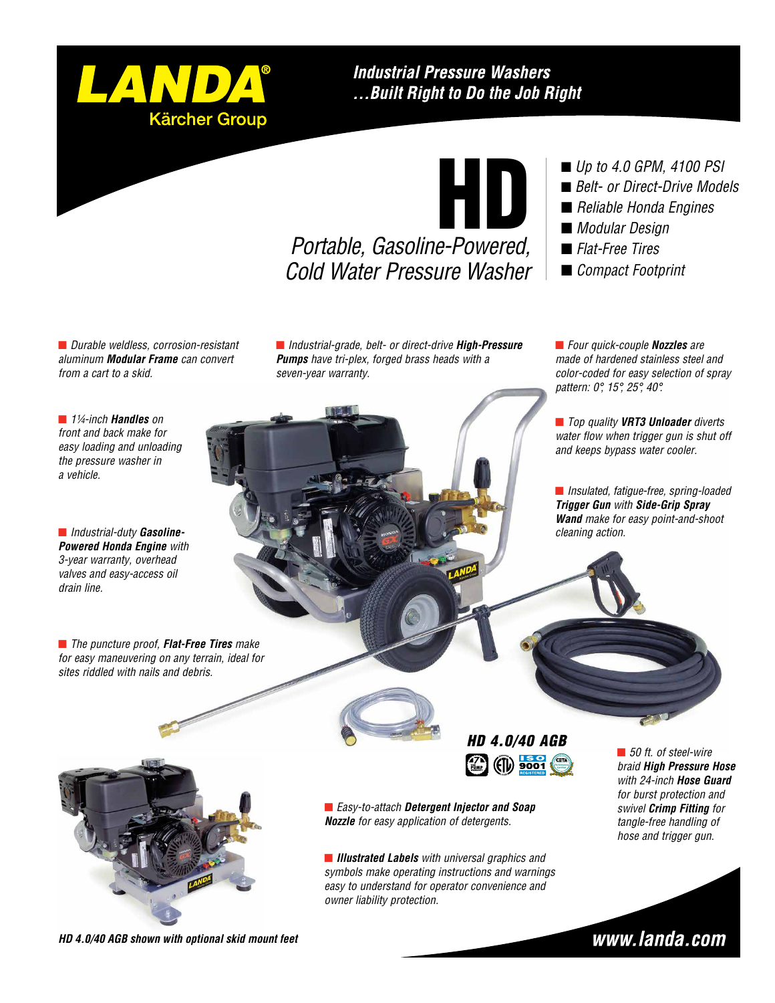

## **Industrial Pressure Washers** ... Built Right to Do the Job Right

# HD

*Portable, Gasoline-Powered, Cold Water Pressure Washer*

- *Up to 4.0 GPM, 4100 PSI*
- *Belt- or Direct-Drive Models*
- *Reliable Honda Engines*
- *Modular Design*
- n *Flat-Free Tires*
- *Compact Footprint*

n *Durable weldless, corrosion-resistant aluminum Modular Frame can convert from a cart to a skid.*

n *Industrial-grade, belt- or direct-drive High-Pressure Pumps have tri-plex, forged brass heads with a seven-year warranty.*

■ *Four quick-couple Nozzles* are *made of hardened stainless steel and color-coded for easy selection of spray pattern: 0°, 15°, 25°, 40°.*

■ *Top quality VRT3 Unloader diverts water flow when trigger gun is shut off and keeps bypass water cooler.*

n *Insulated, fatigue-free, spring-loaded Trigger Gun with Side-Grip Spray Wand make for easy point-and-shoot cleaning action.*

■ *1¼-inch Handles* on *front and back make for easy loading and unloading the pressure washer in a vehicle.*

n *Industrial-duty Gasoline-Powered Honda Engine with 3-year warranty, overhead valves and easy-access oil drain line.*

■ *The puncture proof, Flat-Free Tires make for easy maneuvering on any terrain, ideal for sites riddled with nails and debris.* 



*HD 4.0/40 AGB*  $\bigcirc$ **PUMP WARRANTY**



n *Easy-to-attach Detergent Injector and Soap Nozzle for easy application of detergents.*

**n** *Illustrated Labels* with universal graphics and *symbols make operating instructions and warnings easy to understand for operator convenience and owner liability protection.*

■ 50 ft. of steel-wire *braid High Pressure Hose with 24-inch Hose Guard for burst protection and swivel Crimp Fitting for tangle-free handling of hose and trigger gun.*

*HD 4.0/40 AGB shown with optional skid mount feet*

www.landa.com